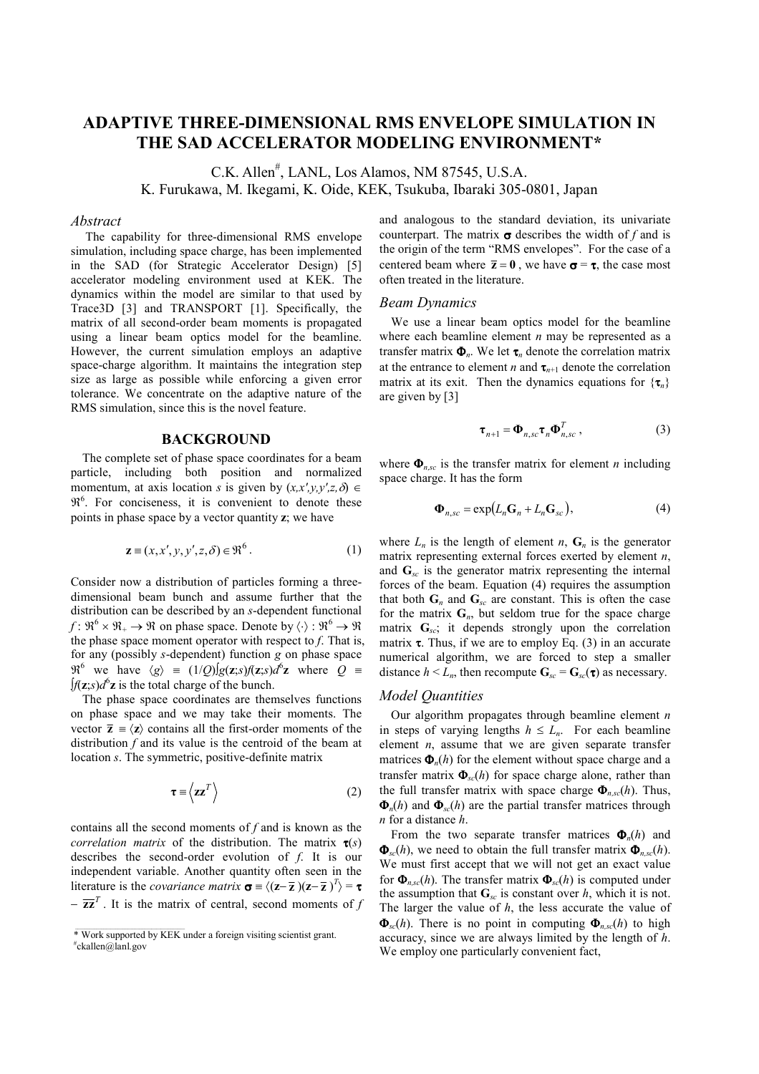# ADAPTIVE THREE-DIMENSIONAL RMS ENVELOPE SIMULATION IN THE SAD ACCELERATOR MODELING ENVIRONMENT\*

C.K. Allen# , LANL, Los Alamos, NM 87545, U.S.A. K. Furukawa, M. Ikegami, K. Oide, KEK, Tsukuba, Ibaraki 305-0801, Japan

#### Abstract

 The capability for three-dimensional RMS envelope simulation, including space charge, has been implemented in the SAD (for Strategic Accelerator Design) [5] accelerator modeling environment used at KEK. The dynamics within the model are similar to that used by Trace3D [3] and TRANSPORT [1]. Specifically, the matrix of all second-order beam moments is propagated using a linear beam optics model for the beamline. However, the current simulation employs an adaptive space-charge algorithm. It maintains the integration step size as large as possible while enforcing a given error tolerance. We concentrate on the adaptive nature of the RMS simulation, since this is the novel feature.

#### BACKGROUND

The complete set of phase space coordinates for a beam particle, including both position and normalized momentum, at axis location s is given by  $(x,x',y,y',z,\delta) \in$  $\mathfrak{R}^6$ . For conciseness, it is convenient to denote these points in phase space by a vector quantity z; we have

$$
\mathbf{z} \equiv (x, x', y, y', z, \delta) \in \mathfrak{R}^6. \tag{1}
$$

Consider now a distribution of particles forming a threedimensional beam bunch and assume further that the distribution can be described by an s-dependent functional  $f: \mathfrak{R}^6 \times \mathfrak{R}_+ \to \mathfrak{R}$  on phase space. Denote by  $\langle \cdot \rangle : \mathfrak{R}^6 \to \mathfrak{R}$ the phase space moment operator with respect to  $f$ . That is, for any (possibly s-dependent) function g on phase space  $\mathfrak{R}^6$  we have  $\langle g \rangle = (1/Q)[g(z,s)](z,s)d^6z$  where  $Q \equiv$  $[f(z, s)]$  is the total charge of the bunch.

The phase space coordinates are themselves functions on phase space and we may take their moments. The vector  $\bar{z} = \langle z \rangle$  contains all the first-order moments of the distribution  $f$  and its value is the centroid of the beam at location s. The symmetric, positive-definite matrix

$$
\tau \equiv \langle z z^T \rangle \tag{2}
$$

contains all the second moments of f and is known as the correlation matrix of the distribution. The matrix  $\tau(s)$ describes the second-order evolution of  $f$ . It is our independent variable. Another quantity often seen in the literature is the *covariance matrix*  $\sigma = \langle (\mathbf{z} - \overline{\mathbf{z}}) (\mathbf{z} - \overline{\mathbf{z}})^T \rangle = \tau$  $-\overline{z}\overline{z}^T$ . It is the matrix of central, second moments of f

and analogous to the standard deviation, its univariate counterpart. The matrix  $\sigma$  describes the width of f and is the origin of the term "RMS envelopes". For the case of a centered beam where  $\bar{z} = 0$ , we have  $\sigma = \tau$ , the case most often treated in the literature.

#### Beam Dynamics

We use a linear beam optics model for the beamline where each beamline element  $n$  may be represented as a transfer matrix  $\Phi_n$ . We let  $\tau_n$  denote the correlation matrix at the entrance to element *n* and  $\tau_{n+1}$  denote the correlation matrix at its exit. Then the dynamics equations for  $\{\tau_n\}$ are given by [3]

$$
\boldsymbol{\tau}_{n+1} = \boldsymbol{\Phi}_{n,sc} \boldsymbol{\tau}_n \boldsymbol{\Phi}_{n,sc}^T, \qquad (3)
$$

where  $\mathbf{\Phi}_{nsc}$  is the transfer matrix for element *n* including space charge. It has the form

$$
\mathbf{\Phi}_{n,sc} = \exp(L_n \mathbf{G}_n + L_n \mathbf{G}_{sc}),\tag{4}
$$

where  $L_n$  is the length of element n,  $G_n$  is the generator matrix representing external forces exerted by element  $n$ , and  $G_{sc}$  is the generator matrix representing the internal forces of the beam. Equation (4) requires the assumption that both  $G_n$  and  $G_{sc}$  are constant. This is often the case for the matrix  $G_n$ , but seldom true for the space charge matrix  $G_{sc}$ ; it depends strongly upon the correlation matrix  $\tau$ . Thus, if we are to employ Eq. (3) in an accurate numerical algorithm, we are forced to step a smaller distance  $h \leq L_n$ , then recompute  $\mathbf{G}_{sc} = \mathbf{G}_{sc}(\tau)$  as necessary.

## Model Quantities

Our algorithm propagates through beamline element  $n$ in steps of varying lengths  $h \leq L_n$ . For each beamline element  $n$ , assume that we are given separate transfer matrices  $\Phi_n(h)$  for the element without space charge and a transfer matrix  $\mathbf{\Phi}_{sc}(h)$  for space charge alone, rather than the full transfer matrix with space charge  $\Phi_{n,sc}(h)$ . Thus,  $\Phi_n(h)$  and  $\Phi_{\infty}(h)$  are the partial transfer matrices through n for a distance h.

From the two separate transfer matrices  $\Phi_n(h)$  and  $\Phi_{\rm sc}(h)$ , we need to obtain the full transfer matrix  $\Phi_{\rm sc}(h)$ . We must first accept that we will not get an exact value for  $\Phi_{nsc}(h)$ . The transfer matrix  $\Phi_{sc}(h)$  is computed under the assumption that  $\mathbf{G}_{sc}$  is constant over h, which it is not. The larger the value of  $h$ , the less accurate the value of  $\mathbf{\Phi}_{sc}(h)$ . There is no point in computing  $\mathbf{\Phi}_{n,sc}(h)$  to high accuracy, since we are always limited by the length of h. We employ one particularly convenient fact,

<sup>\*</sup> Work supported by KEK under a foreign visiting scientist grant. # ckallen@lanl.gov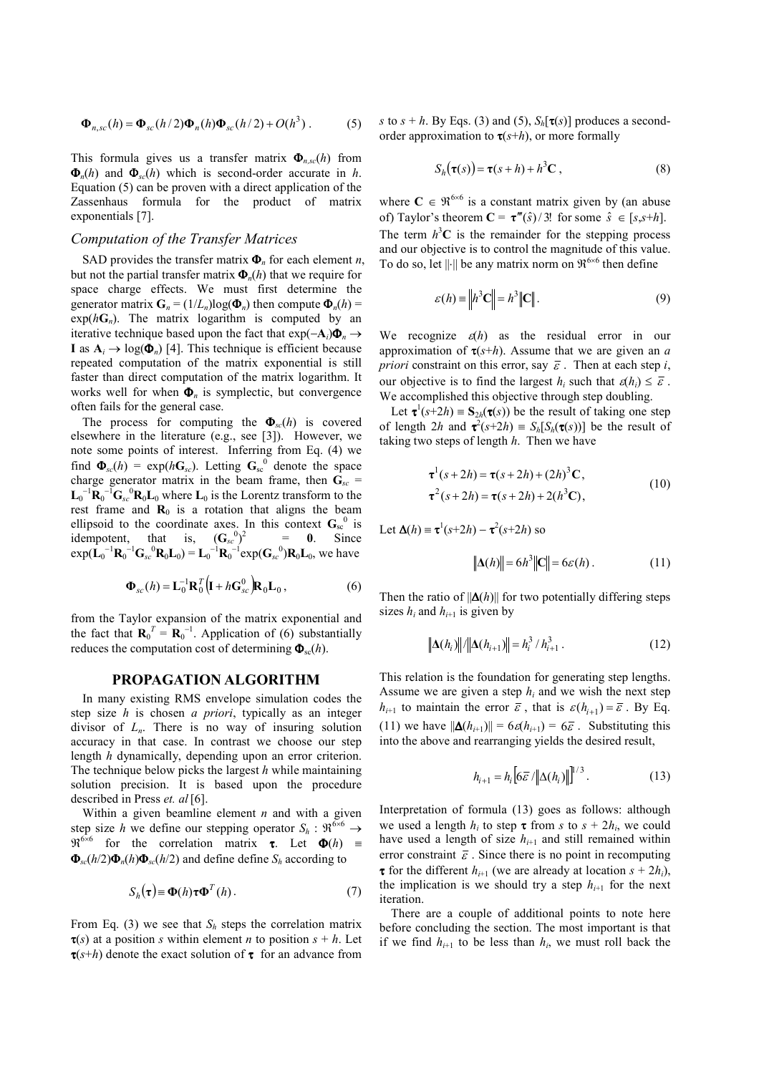$$
\mathbf{\Phi}_{n,sc}(h) = \mathbf{\Phi}_{sc}(h/2)\mathbf{\Phi}_n(h)\mathbf{\Phi}_{sc}(h/2) + O(h^3) \,. \tag{5}
$$

This formula gives us a transfer matrix  $\Phi_{nsc}(h)$  from  $\mathbf{\Phi}_n(h)$  and  $\mathbf{\Phi}_{sc}(h)$  which is second-order accurate in h. Equation (5) can be proven with a direct application of the Zassenhaus formula for the product of matrix exponentials [7].

#### Computation of the Transfer Matrices

SAD provides the transfer matrix  $\Phi_n$  for each element *n*, but not the partial transfer matrix  $\Phi_n(h)$  that we require for space charge effects. We must first determine the generator matrix  $\mathbf{G}_n = (1/L_n) \log(\Phi_n)$  then compute  $\Phi_n(h)$  $exp(hG_n)$ . The matrix logarithm is computed by an iterative technique based upon the fact that  $exp(-A_i)\Phi_n \rightarrow$ I as  $A_i \rightarrow log(\Phi_n)$  [4]. This technique is efficient because repeated computation of the matrix exponential is still faster than direct computation of the matrix logarithm. It works well for when  $\Phi_n$  is symplectic, but convergence often fails for the general case.

The process for computing the  $\Phi_{sc}(h)$  is covered elsewhere in the literature (e.g., see [3]). However, we note some points of interest. Inferring from Eq. (4) we find  $\Phi_{sc}(h) = \exp(h\mathbf{G}_{sc})$ . Letting  $\mathbf{G}_{sc}^{0}$  denote the space charge generator matrix in the beam frame, then  $G_{sc}$  =  $\mathbf{L}_0^{-1} \mathbf{R}_0^{-1} \mathbf{G}_{sc}^0 \mathbf{R}_0 \mathbf{L}_0$  where  $\mathbf{L}_0$  is the Lorentz transform to the rest frame and  $\mathbf{R}_0$  is a rotation that aligns the beam ellipsoid to the coordinate axes. In this context  $G_{sc}^{0}$  is idempotent, that is,  $(G_{sc}^{0})^2$  = 0. Since  $exp(L_0^{-1}R_0^{-1}G_{sc}^{0}R_0L_0) = L_0^{-1}R_0^{-1}exp(G_{sc}^{0})R_0L_0$ , we have

$$
\mathbf{\Phi}_{sc}(h) = \mathbf{L}_0^{-1} \mathbf{R}_0^T \Big( \mathbf{I} + h \mathbf{G}_{sc}^0 \Big) \mathbf{R}_0 \mathbf{L}_0 , \tag{6}
$$

from the Taylor expansion of the matrix exponential and the fact that  $\mathbf{R}_0^T = \mathbf{R}_0^{-1}$ . Application of (6) substantially reduces the computation cost of determining  $\mathbf{\Phi}_{\text{sc}}(h)$ .

#### PROPAGATION ALGORITHM

In many existing RMS envelope simulation codes the step size  $h$  is chosen  $a$  priori, typically as an integer divisor of  $L_n$ . There is no way of insuring solution accuracy in that case. In contrast we choose our step length h dynamically, depending upon an error criterion. The technique below picks the largest  $h$  while maintaining solution precision. It is based upon the procedure described in Press et. al [6].

Within a given beamline element  $n$  and with a given step size h we define our stepping operator  $S_h : \mathfrak{R}^{6 \times 6} \rightarrow$  $\mathfrak{R}^{6\times6}$  for the correlation matrix **τ**. Let  $\Phi(h)$  =  $\Phi_{sc}(h/2)\Phi_n(h)\Phi_{sc}(h/2)$  and define define  $S_h$  according to

$$
S_h(\tau) \equiv \Phi(h)\tau \Phi^T(h). \tag{7}
$$

From Eq. (3) we see that  $S_h$  steps the correlation matrix  $\tau(s)$  at a position s within element *n* to position  $s + h$ . Let  $\tau(s+h)$  denote the exact solution of  $\tau$  for an advance from s to  $s + h$ . By Eqs. (3) and (5),  $S_h[\tau(s)]$  produces a secondorder approximation to  $\tau(s+h)$ , or more formally

$$
S_h(\tau(s)) = \tau(s+h) + h^3 \mathbf{C} , \qquad (8)
$$

where  $C \in \mathcal{R}^{6\times6}$  is a constant matrix given by (an abuse of) Taylor's theorem  $C = \tau'''(\hat{s})/3!$  for some  $\hat{s} \in [s, s+h]$ . The term  $h^3C$  is the remainder for the stepping process and our objective is to control the magnitude of this value. To do so, let  $\|\cdot\|$  be any matrix norm on  $\mathfrak{R}^{6\times6}$  then define

$$
\varepsilon(h) \equiv \left\| h^3 \mathbf{C} \right\| = h^3 \left\| \mathbf{C} \right\|.
$$
 (9)

We recognize  $\varepsilon(h)$  as the residual error in our approximation of  $\tau(s+h)$ . Assume that we are given an a *priori* constraint on this error, say  $\overline{\varepsilon}$ . Then at each step *i*, our objective is to find the largest  $h_i$  such that  $\varepsilon(h_i) \leq \overline{\varepsilon}$ . We accomplished this objective through step doubling.

Let  $\tau^1(s+2h) = S_{2h}(\tau(s))$  be the result of taking one step of length  $2h$  and  $\tau^2(s+2h) = S_h[S_h(\tau(s))]$  be the result of taking two steps of length  $h$ . Then we have

$$
\tau^1(s+2h) = \tau(s+2h) + (2h)^3 \mathbf{C},
$$
  
\n
$$
\tau^2(s+2h) = \tau(s+2h) + 2(h^3 \mathbf{C}),
$$
\n(10)

Let 
$$
\Delta(h) = \tau^1(s+2h) - \tau^2(s+2h)
$$
 so

$$
\|\Delta(h)\| = 6h^3 \|\mathbf{C}\| = 6\varepsilon(h). \tag{11}
$$

Then the ratio of  $\|\Delta(h)\|$  for two potentially differing steps sizes  $h_i$  and  $h_{i+1}$  is given by

$$
\Delta(h_i)\|/\|\Delta(h_{i+1})\| = h_i^3/h_{i+1}^3.
$$
 (12)

This relation is the foundation for generating step lengths. Assume we are given a step  $h_i$  and we wish the next step  $h_{i+1}$  to maintain the error  $\bar{\varepsilon}$ , that is  $\varepsilon (h_{i+1}) = \bar{\varepsilon}$ . By Eq. (11) we have  $\|\Delta(h_{i+1})\| = 6\varepsilon(h_{i+1}) = 6\varepsilon$ . Substituting this into the above and rearranging yields the desired result,

$$
h_{i+1} = h_i \big[ 6\bar{\varepsilon} / \| \Delta(h_i) \| \big]^{1/3} . \tag{13}
$$

Interpretation of formula (13) goes as follows: although we used a length  $h_i$  to step  $\tau$  from s to  $s + 2h_i$ , we could have used a length of size  $h_{i+1}$  and still remained within error constraint  $\bar{\varepsilon}$ . Since there is no point in recomputing **τ** for the different  $h_{i+1}$  (we are already at location  $s + 2h_i$ ), the implication is we should try a step  $h_{i+1}$  for the next iteration.

There are a couple of additional points to note here before concluding the section. The most important is that if we find  $h_{i+1}$  to be less than  $h_i$ , we must roll back the